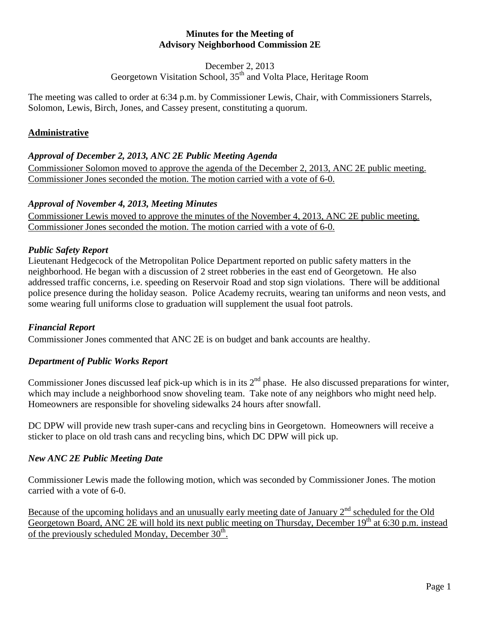#### **Minutes for the Meeting of Advisory Neighborhood Commission 2E**

December 2, 2013

Georgetown Visitation School, 35<sup>th</sup> and Volta Place, Heritage Room

The meeting was called to order at 6:34 p.m. by Commissioner Lewis, Chair, with Commissioners Starrels, Solomon, Lewis, Birch, Jones, and Cassey present, constituting a quorum.

# **Administrative**

# *Approval of December 2, 2013, ANC 2E Public Meeting Agenda*

Commissioner Solomon moved to approve the agenda of the December 2, 2013, ANC 2E public meeting. Commissioner Jones seconded the motion. The motion carried with a vote of 6-0.

# *Approval of November 4, 2013, Meeting Minutes*

Commissioner Lewis moved to approve the minutes of the November 4, 2013, ANC 2E public meeting. Commissioner Jones seconded the motion. The motion carried with a vote of 6-0.

# *Public Safety Report*

Lieutenant Hedgecock of the Metropolitan Police Department reported on public safety matters in the neighborhood. He began with a discussion of 2 street robberies in the east end of Georgetown. He also addressed traffic concerns, i.e. speeding on Reservoir Road and stop sign violations. There will be additional police presence during the holiday season. Police Academy recruits, wearing tan uniforms and neon vests, and some wearing full uniforms close to graduation will supplement the usual foot patrols.

## *Financial Report*

Commissioner Jones commented that ANC 2E is on budget and bank accounts are healthy.

## *Department of Public Works Report*

Commissioner Jones discussed leaf pick-up which is in its  $2<sup>nd</sup>$  phase. He also discussed preparations for winter, which may include a neighborhood snow shoveling team. Take note of any neighbors who might need help. Homeowners are responsible for shoveling sidewalks 24 hours after snowfall.

DC DPW will provide new trash super-cans and recycling bins in Georgetown. Homeowners will receive a sticker to place on old trash cans and recycling bins, which DC DPW will pick up.

## *New ANC 2E Public Meeting Date*

Commissioner Lewis made the following motion, which was seconded by Commissioner Jones. The motion carried with a vote of 6-0.

Because of the upcoming holidays and an unusually early meeting date of January  $2<sup>nd</sup>$  scheduled for the Old Georgetown Board, ANC 2E will hold its next public meeting on Thursday, December 19<sup>th</sup> at 6:30 p.m. instead of the previously scheduled Monday, December  $30<sup>th</sup>$ .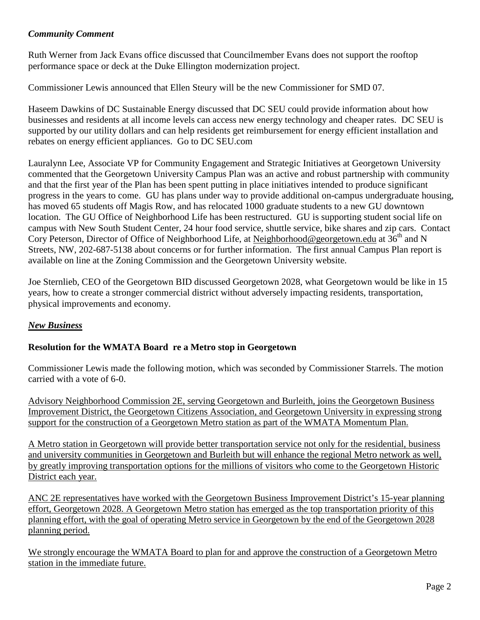#### *Community Comment*

Ruth Werner from Jack Evans office discussed that Councilmember Evans does not support the rooftop performance space or deck at the Duke Ellington modernization project.

Commissioner Lewis announced that Ellen Steury will be the new Commissioner for SMD 07.

Haseem Dawkins of DC Sustainable Energy discussed that DC SEU could provide information about how businesses and residents at all income levels can access new energy technology and cheaper rates. DC SEU is supported by our utility dollars and can help residents get reimbursement for energy efficient installation and rebates on energy efficient appliances. Go to DC SEU.com

Lauralynn Lee, Associate VP for Community Engagement and Strategic Initiatives at Georgetown University commented that the Georgetown University Campus Plan was an active and robust partnership with community and that the first year of the Plan has been spent putting in place initiatives intended to produce significant progress in the years to come. GU has plans under way to provide additional on-campus undergraduate housing, has moved 65 students off Magis Row, and has relocated 1000 graduate students to a new GU downtown location. The GU Office of Neighborhood Life has been restructured. GU is supporting student social life on campus with New South Student Center, 24 hour food service, shuttle service, bike shares and zip cars. Contact Cory Peterson, Director of Office of Neighborhood Life, at [Neighborhood@georgetown.edu](mailto:Neighborhood@georgetown.edu) at  $36<sup>th</sup>$  and N Streets, NW, 202-687-5138 about concerns or for further information. The first annual Campus Plan report is available on line at the Zoning Commission and the Georgetown University website.

Joe Sternlieb, CEO of the Georgetown BID discussed Georgetown 2028, what Georgetown would be like in 15 years, how to create a stronger commercial district without adversely impacting residents, transportation, physical improvements and economy.

## *New Business*

## **Resolution for the WMATA Board re a Metro stop in Georgetown**

Commissioner Lewis made the following motion, which was seconded by Commissioner Starrels. The motion carried with a vote of 6-0.

Advisory Neighborhood Commission 2E, serving Georgetown and Burleith, joins the Georgetown Business Improvement District, the Georgetown Citizens Association, and Georgetown University in expressing strong support for the construction of a Georgetown Metro station as part of the WMATA Momentum Plan.

A Metro station in Georgetown will provide better transportation service not only for the residential, business and university communities in Georgetown and Burleith but will enhance the regional Metro network as well, by greatly improving transportation options for the millions of visitors who come to the Georgetown Historic District each year.

ANC 2E representatives have worked with the Georgetown Business Improvement District's 15-year planning effort, Georgetown 2028. A Georgetown Metro station has emerged as the top transportation priority of this planning effort, with the goal of operating Metro service in Georgetown by the end of the Georgetown 2028 planning period.

We strongly encourage the WMATA Board to plan for and approve the construction of a Georgetown Metro station in the immediate future.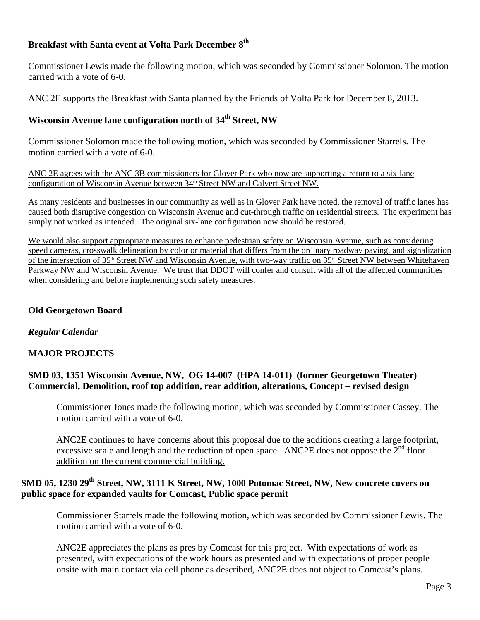## **Breakfast with Santa event at Volta Park December 8th**

Commissioner Lewis made the following motion, which was seconded by Commissioner Solomon. The motion carried with a vote of 6-0.

ANC 2E supports the Breakfast with Santa planned by the Friends of Volta Park for December 8, 2013.

## **Wisconsin Avenue lane configuration north of 34th Street, NW**

Commissioner Solomon made the following motion, which was seconded by Commissioner Starrels. The motion carried with a vote of 6-0.

ANC 2E agrees with the ANC 3B commissioners for Glover Park who now are supporting a return to a six-lane configuration of Wisconsin Avenue between  $34<sup>th</sup>$  Street NW and Calvert Street NW.

As many residents and businesses in our community as well as in Glover Park have noted, the removal of traffic lanes has caused both disruptive congestion on Wisconsin Avenue and cut-through traffic on residential streets. The experiment has simply not worked as intended. The original six-lane configuration now should be restored.

We would also support appropriate measures to enhance pedestrian safety on Wisconsin Avenue, such as considering speed cameras, crosswalk delineation by color or material that differs from the ordinary roadway paving, and signalization of the intersection of 35th Street NW and Wisconsin Avenue, with two-way traffic on 35th Street NW between Whitehaven Parkway NW and Wisconsin Avenue. We trust that DDOT will confer and consult with all of the affected communities when considering and before implementing such safety measures.

#### **Old Georgetown Board**

#### *Regular Calendar*

#### **MAJOR PROJECTS**

#### **SMD 03, 1351 Wisconsin Avenue, NW, OG 14-007 (HPA 14-011) (former Georgetown Theater) Commercial, Demolition, roof top addition, rear addition, alterations, Concept – revised design**

Commissioner Jones made the following motion, which was seconded by Commissioner Cassey. The motion carried with a vote of 6-0.

ANC2E continues to have concerns about this proposal due to the additions creating a large footprint, excessive scale and length and the reduction of open space. ANC2E does not oppose the  $2<sup>nd</sup>$  floor addition on the current commercial building.

## **SMD 05, 1230 29th Street, NW, 3111 K Street, NW, 1000 Potomac Street, NW, New concrete covers on public space for expanded vaults for Comcast, Public space permit**

Commissioner Starrels made the following motion, which was seconded by Commissioner Lewis. The motion carried with a vote of 6-0.

ANC2E appreciates the plans as pres by Comcast for this project. With expectations of work as presented, with expectations of the work hours as presented and with expectations of proper people onsite with main contact via cell phone as described, ANC2E does not object to Comcast's plans.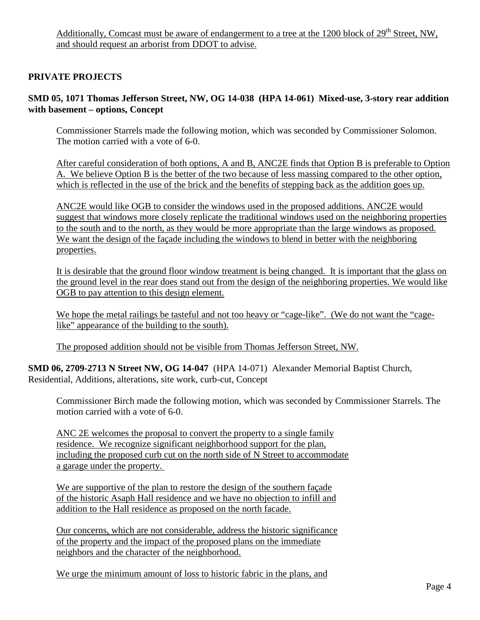## **PRIVATE PROJECTS**

#### **SMD 05, 1071 Thomas Jefferson Street, NW, OG 14-038 (HPA 14-061) Mixed-use, 3-story rear addition with basement – options, Concept**

Commissioner Starrels made the following motion, which was seconded by Commissioner Solomon. The motion carried with a vote of 6-0.

After careful consideration of both options, A and B, ANC2E finds that Option B is preferable to Option A. We believe Option B is the better of the two because of less massing compared to the other option, which is reflected in the use of the brick and the benefits of stepping back as the addition goes up.

ANC2E would like OGB to consider the windows used in the proposed additions. ANC2E would suggest that windows more closely replicate the traditional windows used on the neighboring properties to the south and to the north, as they would be more appropriate than the large windows as proposed. We want the design of the façade including the windows to blend in better with the neighboring properties.

It is desirable that the ground floor window treatment is being changed. It is important that the glass on the ground level in the rear does stand out from the design of the neighboring properties. We would like OGB to pay attention to this design element.

We hope the metal railings be tasteful and not too heavy or "cage-like". (We do not want the "cagelike" appearance of the building to the south).

The proposed addition should not be visible from Thomas Jefferson Street, NW.

**SMD 06, 2709-2713 N Street NW, OG 14-047** (HPA 14-071) Alexander Memorial Baptist Church, Residential, Additions, alterations, site work, curb-cut, Concept

Commissioner Birch made the following motion, which was seconded by Commissioner Starrels. The motion carried with a vote of 6-0.

ANC 2E welcomes the proposal to convert the property to a single family residence. We recognize significant neighborhood support for the plan, including the proposed curb cut on the north side of N Street to accommodate a garage under the property.

We are supportive of the plan to restore the design of the southern façade of the historic Asaph Hall residence and we have no objection to infill and addition to the Hall residence as proposed on the north facade.

Our concerns, which are not considerable, address the historic significance of the property and the impact of the proposed plans on the immediate neighbors and the character of the neighborhood.

We urge the minimum amount of loss to historic fabric in the plans, and